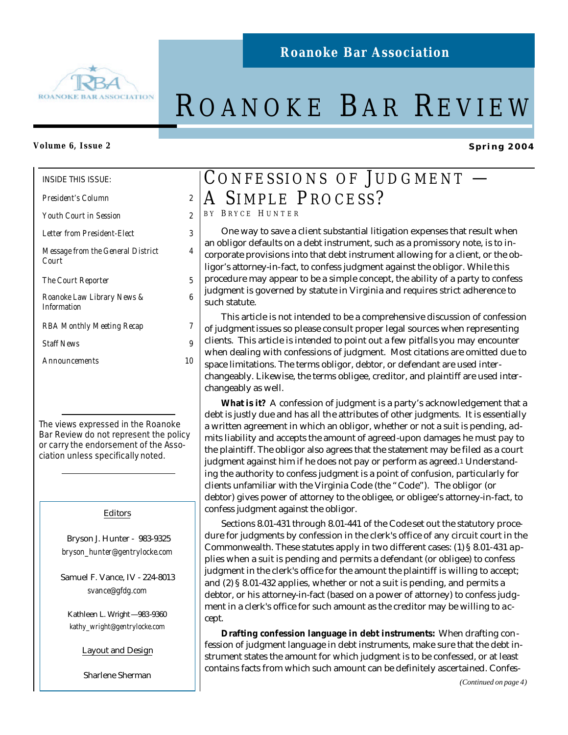

# ROANOKE BAR REVIEW

## **Volume 6, Issue 2**

INSIDE THIS ISSUE:

| President's Column |  |
|--------------------|--|
|                    |  |

*Youth Court in Session 2*

*Letter from President-Elect 3*

*Message from the General District Court*

*The Court Reporter 5*

*Roanoke Law Library News & Information*

*RBA Monthly Meeting Recap 7*

*Staff News 9*

*Announcements 10*

The views expressed in the Roanoke Bar Review do not represent the policy or carry the endorsement of the Association unless specifically noted.

## Editors

 Bryson J. Hunter - 983-9325 *bryson\_hunter@gentrylocke.com*

Samuel F. Vance, IV - 224-8013 *svance@gfdg.com*

Kathleen L. Wright—983-9360 *kathy\_wright@gentrylocke.com*

Layout and Design

Sharlene Sherman

## CONFESSIONS OF JUDGMENT -A SIMPLE PROCESS?

B Y B RYCE H UNTER

*4*

*6*

 One way to save a client substantial litigation expenses that result when an obligor defaults on a debt instrument, such as a promissory note, is to incorporate provisions into that debt instrument allowing for a client, or the obligor's attorney-in-fact, to confess judgment against the obligor. While this procedure may appear to be a simple concept, the ability of a party to confess judgment is governed by statute in Virginia and requires strict adherence to such statute.

 This article is not intended to be a comprehensive discussion of confession of judgment issues so please consult proper legal sources when representing clients. This article is intended to point out a few pitfalls you may encounter when dealing with confessions of judgment. Most citations are omitted due to space limitations. The terms obligor, debtor, or defendant are used interchangeably. Likewise, the terms obligee, creditor, and plaintiff are used interchangeably as well.

 **What is it?** A confession of judgment is a party's acknowledgement that a debt is justly due and has all the attributes of other judgments. It is essentially a written agreement in which an obligor, whether or not a suit is pending, admits liability and accepts the amount of agreed-upon damages he must pay to the plaintiff. The obligor also agrees that the statement may be filed as a court judgment against him if he does not pay or perform as agreed.1 Understanding the authority to confess judgment is a point of confusion, particularly for clients unfamiliar with the Virginia Code (the "Code"). The obligor (or debtor) gives power of attorney to the obligee, or obligee's attorney-in-fact, to confess judgment against the obligor.

 Sections 8.01-431 through 8.01-441 of the Code set out the statutory procedure for judgments by confession in the clerk's office of any circuit court in the Commonwealth. These statutes apply in two different cases: (1) § 8.01-431 applies when a suit is pending and permits a defendant (or obligee) to confess judgment in the clerk's office for the amount the plaintiff is willing to accept; and (2) § 8.01-432 applies, whether or not a suit is pending, and permits a debtor, or his attorney-in-fact (based on a power of attorney) to confess judgment in a clerk's office for such amount as the creditor may be willing to accept.

 **Drafting confession language in debt instruments:** When drafting confession of judgment language in debt instruments, make sure that the debt instrument states the amount for which judgment is to be confessed, or at least contains facts from which such amount can be definitely ascertained. Confes-

**Spring 2004**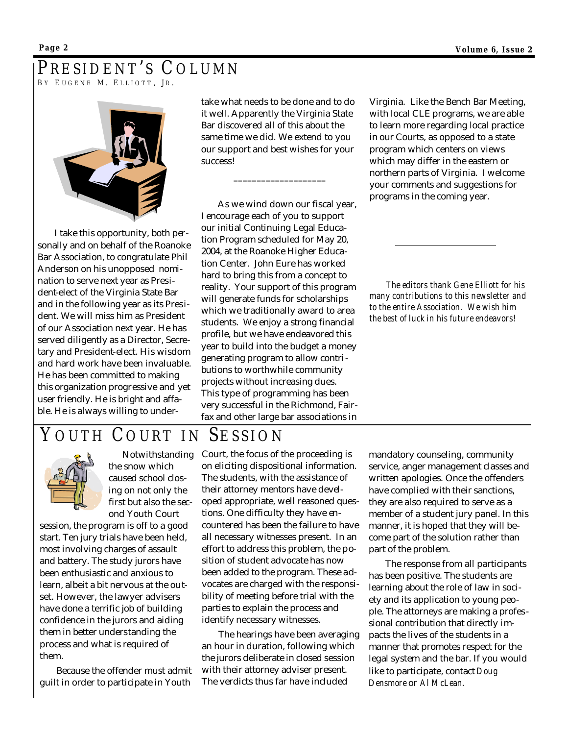## PRESIDENT'S COLUMN BY EUGENE M. ELLIOTT, JR.



I take this opportunity, both personally and on behalf of the Roanoke Bar Association, to congratulate Phil Anderson on his unopposed nomination to serve next year as President-elect of the Virginia State Bar and in the following year as its President. We will miss him as President of our Association next year. He has served diligently as a Director, Secretary and President-elect. His wisdom and hard work have been invaluable. He has been committed to making this organization progressive and yet user friendly. He is bright and affable. He is always willing to undertake what needs to be done and to do it well. Apparently the Virginia State Bar discovered all of this about the same time we did. We extend to you our support and best wishes for your success!

**\_\_\_\_\_\_\_\_\_\_\_\_\_\_\_\_\_\_\_\_**

As we wind down our fiscal year, I encourage each of you to support our initial Continuing Legal Education Program scheduled for May 20, 2004, at the Roanoke Higher Education Center. John Eure has worked hard to bring this from a concept to reality. Your support of this program will generate funds for scholarships which we traditionally award to area students. We enjoy a strong financial profile, but we have endeavored this year to build into the budget a money generating program to allow contributions to worthwhile community projects without increasing dues. This type of programming has been very successful in the Richmond, Fairfax and other large bar associations in Virginia. Like the Bench Bar Meeting, with local CLE programs, we are able to learn more regarding local practice in our Courts, as opposed to a state program which centers on views which may differ in the eastern or northern parts of Virginia. I welcome your comments and suggestions for programs in the coming year.

*The editors thank Gene Elliott for his many contributions to this newsletter and to the entire Association. We wish him the best of luck in his future endeavors!*

## YOUTH COURT IN SESSION



 Notwithstanding the snow which caused school closing on not only the first but also the second Youth Court

session, the program is off to a good start. Ten jury trials have been held, most involving charges of assault and battery. The study jurors have been enthusiastic and anxious to learn, albeit a bit nervous at the outset. However, the lawyer advisers have done a terrific job of building confidence in the jurors and aiding them in better understanding the process and what is required of them.

Because the offender must admit guilt in order to participate in Youth

Court, the focus of the proceeding is on eliciting dispositional information. The students, with the assistance of their attorney mentors have developed appropriate, well reasoned questions. One difficulty they have encountered has been the failure to have all necessary witnesses present. In an effort to address this problem, the position of student advocate has now been added to the program. These advocates are charged with the responsibility of meeting before trial with the parties to explain the process and identify necessary witnesses.

The hearings have been averaging an hour in duration, following which the jurors deliberate in closed session with their attorney adviser present. The verdicts thus far have included

mandatory counseling, community service, anger management classes and written apologies. Once the offenders have complied with their sanctions, they are also required to serve as a member of a student jury panel. In this manner, it is hoped that they will become part of the solution rather than part of the problem.

The response from all participants has been positive. The students are learning about the role of law in society and its application to young people. The attorneys are making a professional contribution that directly impacts the lives of the students in a manner that promotes respect for the legal system and the bar. If you would like to participate, contact *Doug Densmore* or *Al McLean*.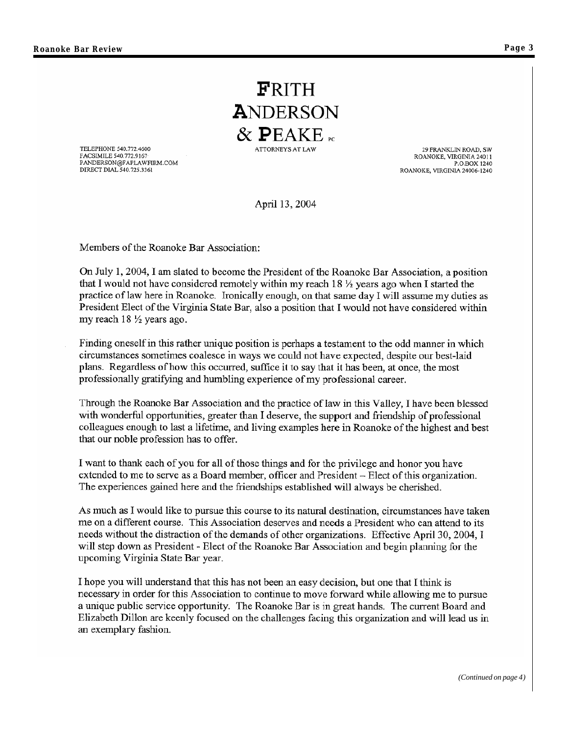FRITH ANDERSON  $\&$  PEAKE ATTORNEYS AT LAW

TELEPHONE 540.772.4600 FACSIMILE 540.772.9167<br>PANDERSON@FAPLAWFIRM.COM DIRECT DIAL 540.725.3361

29 FRANKLIN ROAD, SW ROANOKE, VIRGINIA 24011 P.O.BOX 1240 ROANOKE, VIRGINIA 24006-1240

April 13, 2004

Members of the Roanoke Bar Association:

On July 1, 2004, I am slated to become the President of the Roanoke Bar Association, a position that I would not have considered remotely within my reach 18  $\frac{1}{2}$  years ago when I started the practice of law here in Roanoke. Ironically enough, on that same day I will assume my duties as President Elect of the Virginia State Bar, also a position that I would not have considered within my reach  $18 \frac{1}{2}$  years ago.

Finding oneself in this rather unique position is perhaps a testament to the odd manner in which circumstances sometimes coalesce in ways we could not have expected, despite our best-laid plans. Regardless of how this occurred, suffice it to say that it has been, at once, the most professionally gratifying and humbling experience of my professional career.

Through the Roanoke Bar Association and the practice of law in this Valley, I have been blessed with wonderful opportunities, greater than I deserve, the support and friendship of professional colleagues enough to last a lifetime, and living examples here in Roanoke of the highest and best that our noble profession has to offer.

I want to thank each of you for all of those things and for the privilege and honor you have extended to me to serve as a Board member, officer and President – Elect of this organization. The experiences gained here and the friendships established will always be cherished.

As much as I would like to pursue this course to its natural destination, circumstances have taken me on a different course. This Association deserves and needs a President who can attend to its needs without the distraction of the demands of other organizations. Effective April 30, 2004, I will step down as President - Elect of the Roanoke Bar Association and begin planning for the upcoming Virginia State Bar year.

I hope you will understand that this has not been an easy decision, but one that I think is necessary in order for this Association to continue to move forward while allowing me to pursue a unique public service opportunity. The Roanoke Bar is in great hands. The current Board and Elizabeth Dillon are keenly focused on the challenges facing this organization and will lead us in an exemplary fashion.

*(Continued on page 4)*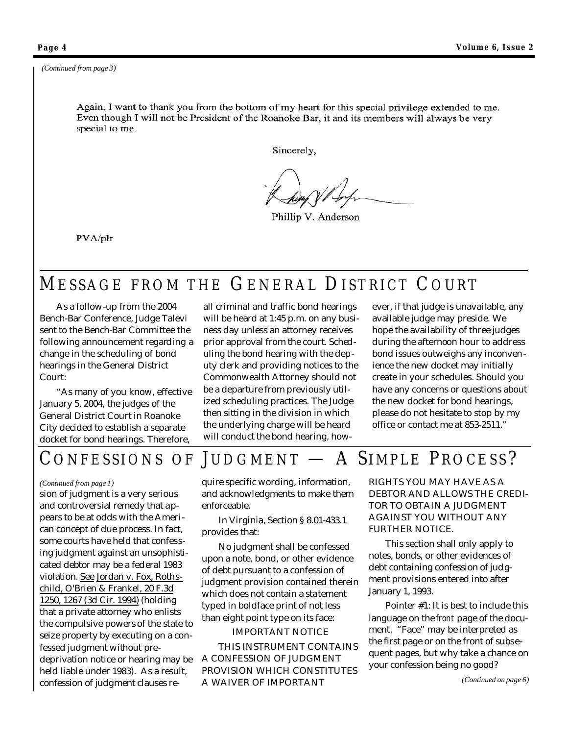Again, I want to thank you from the bottom of my heart for this special privilege extended to me. Even though I will not be President of the Roanoke Bar, it and its members will always be very special to me.

Sincerely,

Phillip V. Anderson

PVA/plr

## MESSAGE FROM THE GENERAL DISTRICT C OURT

 As a follow-up from the 2004 Bench-Bar Conference, Judge Talevi sent to the Bench-Bar Committee the following announcement regarding a change in the scheduling of bond hearings in the General District Court:

 "As many of you know, effective January 5, 2004, the judges of the General District Court in Roanoke City decided to establish a separate docket for bond hearings. Therefore,

all criminal and traffic bond hearings will be heard at 1:45 p.m. on any business day unless an attorney receives prior approval from the court. Scheduling the bond hearing with the deputy clerk and providing notices to the Commonwealth Attorney should not be a departure from previously utilized scheduling practices. The Judge then sitting in the division in which the underlying charge will be heard will conduct the bond hearing, how-

ever, if that judge is unavailable, any available judge may preside. We hope the availability of three judges during the afternoon hour to address bond issues outweighs any inconvenience the new docket may initially create in your schedules. Should you have any concerns or questions about the new docket for bond hearings, please do not hesitate to stop by my office or contact me at 853-2511."

## CONFESSIONS OF JUDGMENT - A SIMPLE PROCESS?

### *(Continued from page 1)*

sion of judgment is a very serious and controversial remedy that appears to be at odds with the American concept of due process. In fact, some courts have held that confessing judgment against an unsophisticated debtor may be a federal 1983 violation. See Jordan v. Fox, Rothschild, O'Brien & Frankel, 20 F.3d 1250, 1267 (3d Cir. 1994) (holding that a private attorney who enlists the compulsive powers of the state to seize property by executing on a confessed judgment without predeprivation notice or hearing may be held liable under 1983). As a result, confession of judgment clauses re-

quire specific wording, information, and acknowledgments to make them enforceable.

 In Virginia, Section § 8.01-433.1 provides that:

 No judgment shall be confessed upon a note, bond, or other evidence of debt pursuant to a confession of judgment provision contained therein which does not contain a statement typed in boldface print of not less than eight point type on its face:

### IMPORTANT NOTICE

 THIS INSTRUMENT CONTAINS A CONFESSION OF JUDGMENT PROVISION WHICH CONSTITUTES A WAIVER OF IMPORTANT

RIGHTS YOU MAY HAVE AS A DEBTOR AND ALLOWS THE CREDI-TOR TO OBTAIN A JUDGMENT AGAINST YOU WITHOUT ANY FURTHER NOTICE.

 This section shall only apply to notes, bonds, or other evidences of debt containing confession of judgment provisions entered into after January 1, 1993.

 Pointer #1: It is best to include this language on the *front* page of the document. "Face" may be interpreted as the first page or on the front of subsequent pages, but why take a chance on your confession being no good?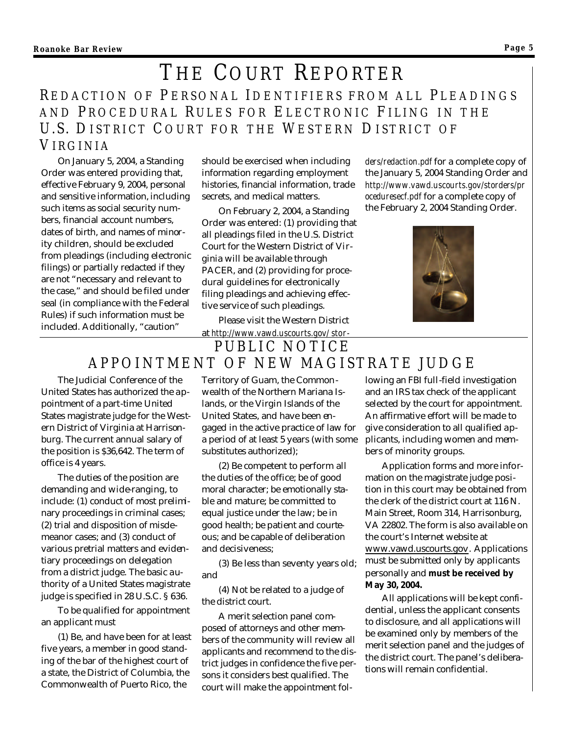## THE COURT REPORTER REDACTION OF PERSONAL IDENTIFIERS FROM ALL PLEADINGS AND PROCEDURAL RULES FOR ELECTRONIC FILING IN THE U.S. DISTRICT COURT FOR THE WESTERN DISTRICT OF V IRGINIA

On January 5, 2004, a Standing Order was entered providing that, effective February 9, 2004, personal and sensitive information, including such items as social security numbers, financial account numbers, dates of birth, and names of minority children, should be excluded from pleadings (including electronic filings) or partially redacted if they are not "necessary and relevant to the case," and should be filed under seal (in compliance with the Federal Rules) if such information must be included. Additionally, "caution"

should be exercised when including information regarding employment histories, financial information, trade secrets, and medical matters.

On February 2, 2004, a Standing Order was entered: (1) providing that all pleadings filed in the U.S. District Court for the Western District of Virginia will be available through PACER, and (2) providing for procedural guidelines for electronically filing pleadings and achieving effective service of such pleadings.

Please visit the Western District

*ders/redaction.pdf* for a complete copy of the January 5, 2004 Standing Order and *http://www.vawd.uscourts.gov/storders/pr oceduresecf.pdf* for a complete copy of the February 2, 2004 Standing Order.



at *http://www.vawd.uscourts.gov/ stor-*PUBLIC NOTICE

## APPOINTMENT OF NEW MAGISTRATE JUDGE

The Judicial Conference of the United States has authorized the appointment of a part-time United States magistrate judge for the Western District of Virginia at Harrisonburg. The current annual salary of the position is \$36,642. The term of office is 4 years.

The duties of the position are demanding and wide-ranging, to include: (1) conduct of most preliminary proceedings in criminal cases; (2) trial and disposition of misdemeanor cases; and (3) conduct of various pretrial matters and evidentiary proceedings on delegation from a district judge. The basic authority of a United States magistrate judge is specified in 28 U.S.C. § 636.

To be qualified for appointment an applicant must

(1) Be, and have been for at least five years, a member in good standing of the bar of the highest court of a state, the District of Columbia, the Commonwealth of Puerto Rico, the

Territory of Guam, the Commonwealth of the Northern Mariana Islands, or the Virgin Islands of the United States, and have been engaged in the active practice of law for a period of at least 5 years (with some substitutes authorized);

(2) Be competent to perform all the duties of the office; be of good moral character; be emotionally stable and mature; be committed to equal justice under the law; be in good health; be patient and courteous; and be capable of deliberation and decisiveness;

(3) Be less than seventy years old; and

(4) Not be related to a judge of the district court.

A merit selection panel composed of attorneys and other members of the community will review all applicants and recommend to the district judges in confidence the five persons it considers best qualified. The court will make the appointment following an FBI full-field investigation and an IRS tax check of the applicant selected by the court for appointment. An affirmative effort will be made to give consideration to all qualified applicants, including women and members of minority groups.

Application forms and more information on the magistrate judge position in this court may be obtained from the clerk of the district court at 116 N. Main Street, Room 314, Harrisonburg, VA 22802. The form is also available on the court's Internet website at www.vawd.uscourts.gov. Applications must be submitted only by applicants personally and **must be received by May 30, 2004.**

All applications will be kept confidential, unless the applicant consents to disclosure, and all applications will be examined only by members of the merit selection panel and the judges of the district court. The panel's deliberations will remain confidential.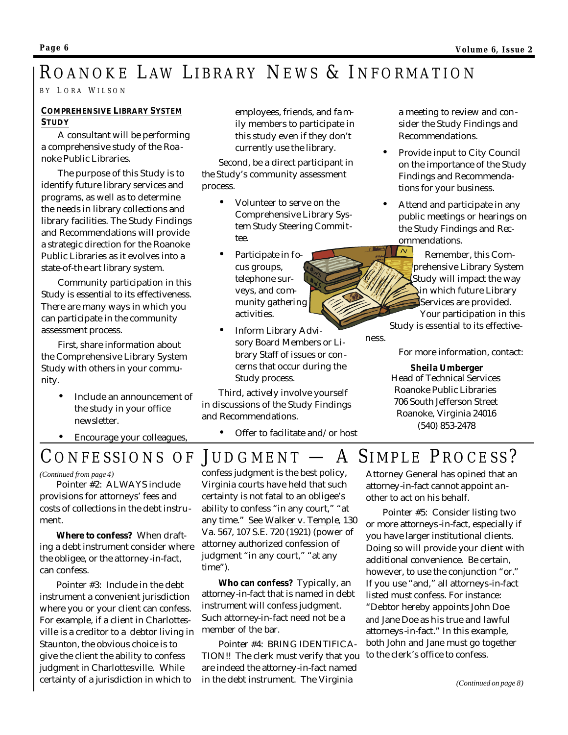## ROANOKE LAW LIBRARY NEWS & I NFORMATION

B Y L ORA W ILSON

## **COMPREHENSIVE LIBRARY SYSTEM STUDY**

A consultant will be performing a comprehensive study of the Roanoke Public Libraries.

The purpose of this Study is to identify future library services and programs, as well as to determine the needs in library collections and library facilities. The Study Findings and Recommendations will provide a strategic direction for the Roanoke Public Libraries as it evolves into a state-of-the-art library system.

Community participation in this Study is essential to its effectiveness. There are many ways in which you can participate in the community assessment process.

First, share information about the Comprehensive Library System Study with others in your community.

- Include an announcement of the study in your office newsletter.
- Encourage your colleagues,

employees, friends, and fa mily members to participate in this study even if they don't currently use the library.

Second, be a direct participant in the Study's community assessment process.

- Volunteer to serve on the Comprehensive Library System Study Steering Committee.
- Participate in focus groups, telephone surveys, and community gathering activities.
- Inform Library Advisory Board Members or Library Staff of issues or concerns that occur during the Study process.

Third, actively involve yourself in discussions of the Study Findings and Recommendations.

• Offer to facilitate and/or host

a meeting to review and consider the Study Findings and Recommendations.

- Provide input to City Council on the importance of the Study Findings and Recommendations for your business.
- Attend and participate in any public meetings or hearings on the Study Findings and Recommendations.

 $\sim$  Remember, this Comprehensive Library System Study will impact the way in which future Library Services are provided. Your participation in this Study is essential to its effective-

For more information, contact:

## **Sheila Umberger** Head of Technical Services Roanoke Public Libraries 706 South Jefferson Street Roanoke, Virginia 24016

(540) 853-2478

CONFESSIONS OF JUDGMENT - A SIMPLE PROCESS?

*(Continued from page 4)*

 Pointer #2: ALWAYS include provisions for attorneys' fees and costs of collections in the debt instrument.

 **Where to confess?** When drafting a debt instrument consider where the obligee, or the attorney-in-fact, can confess.

 Pointer #3: Include in the debt instrument a convenient jurisdiction where you or your client can confess. For example, if a client in Charlottesville is a creditor to a debtor living in Staunton, the obvious choice is to give the client the ability to confess judgment in Charlottesville. While certainty of a jurisdiction in which to

ness.

confess judgment is the best policy, Virginia courts have held that such certainty is not fatal to an obligee's ability to confess "in any court," "at any time." See Walker v. Temple, 130 Va. 567, 107 S.E. 720 (1921) (power of attorney authorized confession of judgment "in any court," "at any time").

 **Who can confess?** Typically, an attorney-in-fact that is named in debt instrument will confess judgment. Such attorney-in-fact need not be a member of the bar.

 Pointer #4: BRING IDENTIFICA-TION!! The clerk must verify that you to the clerk's office to confess. are indeed the attorney-in-fact named in the debt instrument. The Virginia

Attorney General has opined that an attorney-in-fact cannot appoint another to act on his behalf.

 Pointer #5: Consider listing two or more attorneys -in-fact, especially if you have larger institutional clients. Doing so will provide your client with additional convenience. Be certain, however, to use the conjunction "or." If you use "and," all attorneys-in-fact listed must confess. For instance:

"Debtor hereby appoints John Doe *and* Jane Doe as his true and lawful attorneys -in-fact." In this example, both John and Jane must go together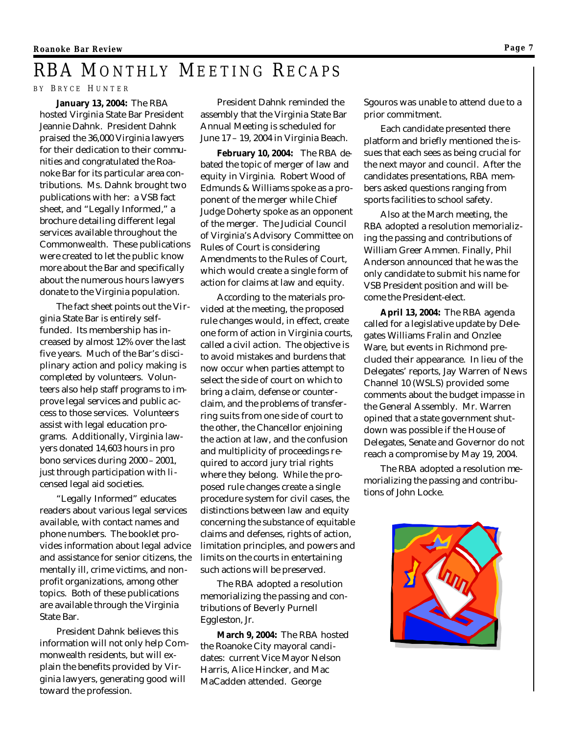## RBA MONTHLY MEETING RECAPS

B Y B RYCE H UNTER

**January 13, 2004:** The RBA hosted Virginia State Bar President Jeannie Dahnk. President Dahnk praised the 36,000 Virginia lawyers for their dedication to their communities and congratulated the Roanoke Bar for its particular area contributions. Ms. Dahnk brought two publications with her: a VSB fact sheet, and "Legally Informed," a brochure detailing different legal services available throughout the Commonwealth. These publications were created to let the public know more about the Bar and specifically about the numerous hours lawyers donate to the Virginia population.

The fact sheet points out the Virginia State Bar is entirely selffunded. Its membership has increased by almost 12% over the last five years. Much of the Bar's disciplinary action and policy making is completed by volunteers. Volunteers also help staff programs to improve legal services and public access to those services. Volunteers assist with legal education programs. Additionally, Virginia lawyers donated 14,603 hours in pro bono services during 2000 – 2001, just through participation with licensed legal aid societies.

"Legally Informed" educates readers about various legal services available, with contact names and phone numbers. The booklet provides information about legal advice and assistance for senior citizens, the mentally ill, crime victims, and nonprofit organizations, among other topics. Both of these publications are available through the Virginia State Bar.

President Dahnk believes this information will not only help Commonwealth residents, but will explain the benefits provided by Virginia lawyers, generating good will toward the profession.

President Dahnk reminded the assembly that the Virginia State Bar Annual Meeting is scheduled for June 17 – 19, 2004 in Virginia Beach.

**February 10, 2004:** The RBA debated the topic of merger of law and equity in Virginia. Robert Wood of Edmunds & Williams spoke as a proponent of the merger while Chief Judge Doherty spoke as an opponent of the merger. The Judicial Council of Virginia's Advisory Committee on Rules of Court is considering Amendments to the Rules of Court, which would create a single form of action for claims at law and equity.

According to the materials provided at the meeting, the proposed rule changes would, in effect, create one form of action in Virginia courts, called a civil action. The objective is to avoid mistakes and burdens that now occur when parties attempt to select the side of court on which to bring a claim, defense or counterclaim, and the problems of transferring suits from one side of court to the other, the Chancellor enjoining the action at law, and the confusion and multiplicity of proceedings required to accord jury trial rights where they belong. While the proposed rule changes create a single procedure system for civil cases, the distinctions between law and equity concerning the substance of equitable claims and defenses, rights of action, limitation principles, and powers and limits on the courts in entertaining such actions will be preserved.

The RBA adopted a resolution memorializing the passing and contributions of Beverly Purnell Eggleston, Jr.

**March 9, 2004:** The RBA hosted the Roanoke City mayoral candidates: current Vice Mayor Nelson Harris, Alice Hincker, and Mac MaCadden attended. George

Sgouros was unable to attend due to a prior commitment.

Each candidate presented there platform and briefly mentioned the issues that each sees as being crucial for the next mayor and council. After the candidates presentations, RBA members asked questions ranging from sports facilities to school safety.

Also at the March meeting, the RBA adopted a resolution memorializing the passing and contributions of William Greer Ammen. Finally, Phil Anderson announced that he was the only candidate to submit his name for VSB President position and will become the President-elect.

**April 13, 2004:** The RBA agenda called for a legislative update by Delegates Williams Fralin and Onzlee Ware, but events in Richmond precluded their appearance. In lieu of the Delegates' reports, Jay Warren of News Channel 10 (WSLS) provided some comments about the budget impasse in the General Assembly. Mr. Warren opined that a state government shutdown was possible if the House of Delegates, Senate and Governor do not reach a compromise by May 19, 2004.

The RBA adopted a resolution memorializing the passing and contributions of John Locke.

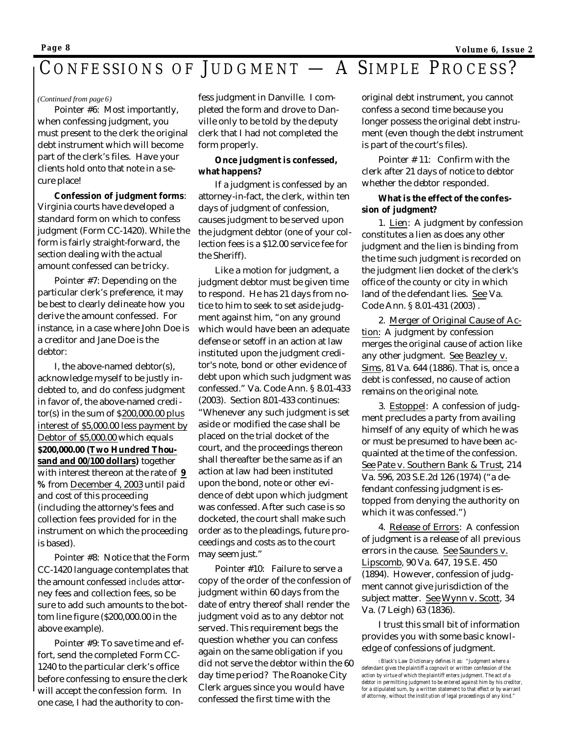## CONFESSIONS OF JUDGMENT - A SIMPLE PROCESS?

### *(Continued from page 6)*

 Pointer #6: Most importantly, when confessing judgment, you must present to the clerk the original debt instrument which will become part of the clerk's files. Have your clients hold onto that note in a secure place!

 **Confession of judgment forms**: Virginia courts have developed a standard form on which to confess judgment (Form CC-1420). While the form is fairly straight-forward, the section dealing with the actual amount confessed can be tricky.

 Pointer #7: Depending on the particular clerk's preference, it may be best to clearly delineate how you derive the amount confessed. For instance, in a case where John Doe is a creditor and Jane Doe is the debtor:

 I, the above-named debtor(s), acknowledge myself to be justly indebted to, and do confess judgment in favor of, the above-named creditor(s) in the sum of \$200,000.00 plus interest of \$5,000.00 less payment by Debtor of \$5,000.00 which equals **\$200,000.00 (Two Hundred Thousand and 00/100 dollars)** together with interest thereon at the rate of **9 %** from December 4, 2003 until paid and cost of this proceeding (including the attorney's fees and collection fees provided for in the instrument on which the proceeding is based).

 Pointer #8: Notice that the Form CC-1420 language contemplates that the amount confessed *includes* attorney fees and collection fees, so be sure to add such amounts to the bottom line figure (\$200,000.00 in the above example).

 Pointer #9: To save time and effort, send the completed Form CC-1240 to the particular clerk's office before confessing to ensure the clerk will accept the confession form. In one case, I had the authority to con-

fess judgment in Danville. I completed the form and drove to Danville only to be told by the deputy clerk that I had not completed the form properly.

## **Once judgment is confessed, what happens?**

 If a judgment is confessed by an attorney-in-fact, the clerk, within ten days of judgment of confession, causes judgment to be served upon the judgment debtor (one of your collection fees is a \$12.00 service fee for the Sheriff).

 Like a motion for judgment, a judgment debtor must be given time to respond. He has 21 days from notice to him to seek to set aside judgment against him, "on any ground which would have been an adequate defense or setoff in an action at law instituted upon the judgment creditor's note, bond or other evidence of debt upon which such judgment was confessed." Va. Code Ann. § 8.01-433 (2003). Section 8.01-433 continues: "Whenever any such judgment is set aside or modified the case shall be placed on the trial docket of the court, and the proceedings thereon shall thereafter be the same as if an action at law had been instituted upon the bond, note or other evidence of debt upon which judgment was confessed. After such case is so docketed, the court shall make such order as to the pleadings, future proceedings and costs as to the court may seem just."

 Pointer #10: Failure to serve a copy of the order of the confession of judgment within 60 days from the date of entry thereof shall render the judgment void as to any debtor not served. This requirement begs the question whether you can confess again on the same obligation if you did not serve the debtor within the 60 day time period? The Roanoke City Clerk argues since you would have confessed the first time with the

original debt instrument, you cannot confess a second time because you longer possess the original debt instrument (even though the debt instrument is part of the court's files).

 Pointer # 11: Confirm with the clerk after 21 days of notice to debtor whether the debtor responded.

### **What is the effect of the confession of judgment?**

 1. Lien: A judgment by confession constitutes a lien as does any other judgment and the lien is binding from the time such judgment is recorded on the judgment lien docket of the clerk's office of the county or city in which land of the defendant lies. See Va. Code Ann. § 8.01-431 (2003) .

 2. Merger of Original Cause of Action: A judgment by confession merges the original cause of action like any other judgment. See Beazley v. Sims, 81 Va. 644 (1886). That is, once a debt is confessed, no cause of action remains on the original note.

 3. Estoppel: A confession of judgment precludes a party from availing himself of any equity of which he was or must be presumed to have been acquainted at the time of the confession. See Pate v. Southern Bank & Trust, 214 Va. 596, 203 S.E.2d 126 (1974) ("a defendant confessing judgment is estopped from denying the authority on which it was confessed.")

 4. Release of Errors: A confession of judgment is a release of all previous errors in the cause. See Saunders v. Lipscomb, 90 Va. 647, 19 S.E. 450 (1894). However, confession of judgment cannot give jurisdiction of the subject matter. See Wynn v. Scott, 34 Va. (7 Leigh) 63 (1836).

 I trust this small bit of information provides you with some basic knowledge of confessions of judgment.

*<sup>1</sup>Black's Law Dictionary defines it as: "Judgment where a defendant gives the plaintiff a cognovit or written confession of the action by virtue of which the plaintiff enters judgment. The act of a debtor in permitting judgment to be entered against him by his creditor, for a stipulated sum, by a written statement to that effect or by warrant of atto rney, without the institution of legal proceedings of any kind."*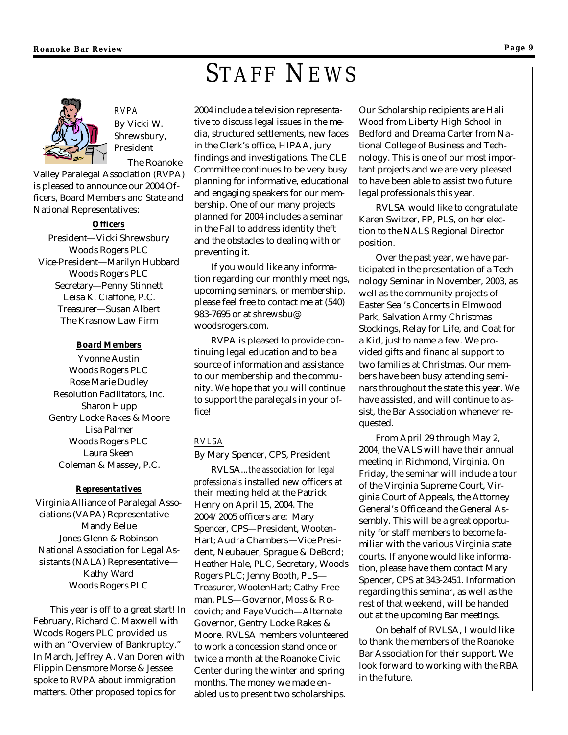# STAFF NEWS



*RVPA* By Vicki W. Shrewsbury, President

 The Roanoke Valley Paralegal Association (RVPA) is pleased to announce our 2004 Officers, Board Members and State and National Representatives:

### *Officers*

President—Vicki Shrewsbury Woods Rogers PLC Vice-President—Marilyn Hubbard Woods Rogers PLC Secretary—Penny Stinnett Leisa K. Ciaffone, P.C. Treasurer—Susan Albert The Krasnow Law Firm

## *Board Members*

Yvonne Austin Woods Rogers PLC Rose Marie Dudley Resolution Facilitators, Inc. Sharon Hupp Gentry Locke Rakes & Moore Lisa Palmer Woods Rogers PLC Laura Skeen Coleman & Massey, P.C.

## *Representatives*

Virginia Alliance of Paralegal Associations (VAPA) Representative— Mandy Belue Jones Glenn & Robinson National Association for Legal Assistants (NALA) Representative— Kathy Ward Woods Rogers PLC

This year is off to a great start! In February, Richard C. Maxwell with Woods Rogers PLC provided us with an "Overview of Bankruptcy." In March, Jeffrey A. Van Doren with Flippin Densmore Morse & Jessee spoke to RVPA about immigration matters. Other proposed topics for

2004 include a television representative to discuss legal issues in the media, structured settlements, new faces in the Clerk's office, HIPAA, jury findings and investigations. The CLE Committee continues to be very busy planning for informative, educational and engaging speakers for our membership. One of our many projects planned for 2004 includes a seminar in the Fall to address identity theft and the obstacles to dealing with or preventing it.

If you would like any information regarding our monthly meetings, upcoming seminars, or membership, please feel free to contact me at (540) 983-7695 or at shrewsbu@ woodsrogers.com.

RVPA is pleased to provide continuing legal education and to be a source of information and assistance to our membership and the community. We hope that you will continue to support the paralegals in your office!

## *RVLSA*

By Mary Spencer, CPS, President

RVLSA...*the association for legal professionals* installed new officers at their meeting held at the Patrick Henry on April 15, 2004. The 2004/2005 officers are: Mary Spencer, CPS—President, Wooten-Hart; Audra Chambers—Vice President, Neubauer, Sprague & DeBord; Heather Hale, PLC, Secretary, Woods Rogers PLC; Jenny Booth, PLS— Treasurer, WootenHart; Cathy Freeman, PLS—Governor, Moss & Rocovich; and Faye Vucich—Alternate Governor, Gentry Locke Rakes & Moore. RVLSA members volunteered to work a concession stand once or twice a month at the Roanoke Civic Center during the winter and spring months. The money we made enabled us to present two scholarships.

Our Scholarship recipients are Hali Wood from Liberty High School in Bedford and Dreama Carter from National College of Business and Technology. This is one of our most important projects and we are very pleased to have been able to assist two future legal professionals this year.

RVLSA would like to congratulate Karen Switzer, PP, PLS, on her election to the NALS Regional Director position.

Over the past year, we have participated in the presentation of a Technology Seminar in November, 2003, as well as the community projects of Easter Seal's Concerts in Elmwood Park, Salvation Army Christmas Stockings, Relay for Life, and Coat for a Kid, just to name a few. We provided gifts and financial support to two families at Christmas. Our members have been busy attending seminars throughout the state this year. We have assisted, and will continue to assist, the Bar Association whenever requested.

From April 29 through May 2, 2004, the VALS will have their annual meeting in Richmond, Virginia. On Friday, the seminar will include a tour of the Virginia Supreme Court, Virginia Court of Appeals, the Attorney General's Office and the General Assembly. This will be a great opportunity for staff members to become familiar with the various Virginia state courts. If anyone would like information, please have them contact Mary Spencer, CPS at 343-2451. Information regarding this seminar, as well as the rest of that weekend, will be handed out at the upcoming Bar meetings.

On behalf of RVLSA, I would like to thank the members of the Roanoke Bar Association for their support. We look forward to working with the RBA in the future.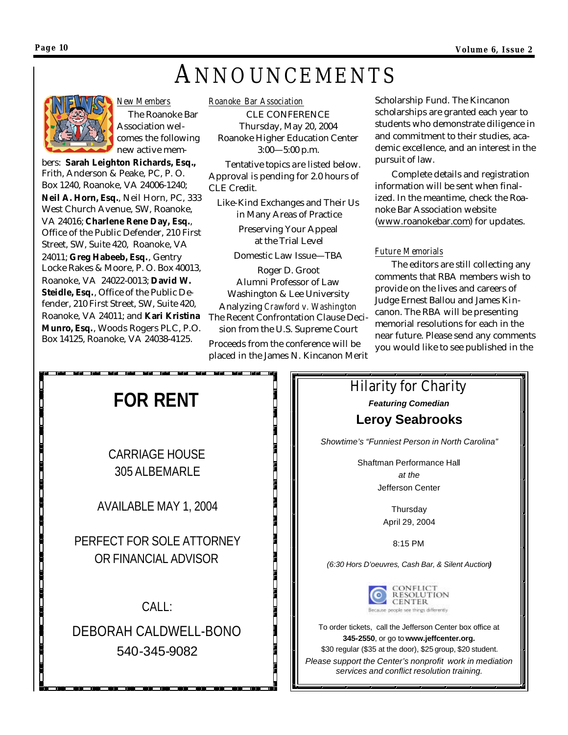# ANNOUNCEMENTS



### *New Members*

 The Roanoke Bar Association welcomes the following new active mem-

bers: **Sarah Leighton Richards, Esq.,**  Frith, Anderson & Peake, PC, P. O. Box 1240, Roanoke, VA 24006-1240; **Neil A. Horn, Esq.**, Neil Horn, PC, 333 West Church Avenue, SW, Roanoke, VA 24016; **Charlene Rene Day, Esq.**, Office of the Public Defender, 210 First Street, SW, Suite 420, Roanoke, VA 24011; **Greg Habeeb, Esq.**, Gentry Locke Rakes & Moore, P. O. Box 40013, Roanoke, VA 24022-0013; **David W. Steidle, Esq.**, Office of the Public Defender, 210 First Street, SW, Suite 420, Roanoke, VA 24011; and **Kari Kristina Munro, Esq.**, Woods Rogers PLC, P.O. Box 14125, Roanoke, VA 24038-4125.

*Roanoke Bar Association*

CLE CONFERENCE Thursday, May 20, 2004 Roanoke Higher Education Center 3:00—5:00 p.m.

 Tentative topics are listed below. Approval is pending for 2.0 hours of CLE Credit.

Like-Kind Exchanges and Their Us in Many Areas of Practice

> Preserving Your Appeal at the Trial Level

Domestic Law Issue—TBA

Roger D. Groot Alumni Professor of Law Washington & Lee University Analyzing *Crawford v. Washington* The Recent Confrontation Clause Decision from the U.S. Supreme Court

Proceeds from the conference will be placed in the James N. Kincanon Merit Scholarship Fund. The Kincanon scholarships are granted each year to students who demonstrate diligence in and commitment to their studies, academic excellence, and an interest in the pursuit of law.

 Complete details and registration information will be sent when finalized. In the meantime, check the Roanoke Bar Association website (www.roanokebar.com) for updates.

## *Future Memorials*

 The editors are still collecting any comments that RBA members wish to provide on the lives and careers of Judge Ernest Ballou and James Kincanon. The RBA will be presenting memorial resolutions for each in the near future. Please send any comments you would like to see published in the



Hilarity for Charity *Featuring Comedian* **Leroy Seabrooks**

*Showtime's "Funniest Person in North Carolina"*

Shaftman Performance Hall *at the*  Jefferson Center

> **Thursday** April 29, 2004

> > 8:15 PM

*(6:30 Hors D'oeuvres, Cash Bar, & Silent Auction)*



To order tickets, call the Jefferson Center box office at **345-2550**, or go to **www.jeffcenter.org.** \$30 regular (\$35 at the door), \$25 group, \$20 student. *Please support the Center's nonprofit work in mediation services and conflict resolution training.*